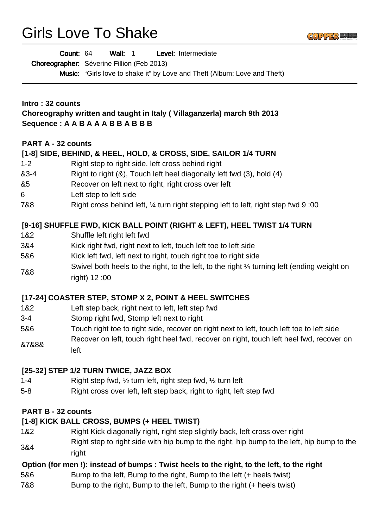# Girls Love To Shake



Wall: 1 Level: Intermediate Count: 64

Choreographer: Séverine Fillion (Feb 2013)

**Music:** "Girls love to shake it" by Love and Theft (Album: Love and Theft)

## **Intro : 32 counts Choreography written and taught in Italy ( Villaganzerla) march 9th 2013 Sequence : A A B A A A B B A B B B**

## **PART A - 32 counts**

#### **[1-8] SIDE, BEHIND, & HEEL, HOLD, & CROSS, SIDE, SAILOR 1/4 TURN**

- 1-2 Right step to right side, left cross behind right
- &3-4 Right to right (&), Touch left heel diagonally left fwd (3), hold (4)
- &5 Recover on left next to right, right cross over left
- 6 Left step to left side
- 7&8 Right cross behind left, ¼ turn right stepping left to left, right step fwd 9 :00

#### **[9-16] SHUFFLE FWD, KICK BALL POINT (RIGHT & LEFT), HEEL TWIST 1/4 TURN**

- 1&2 Shuffle left right left fwd
- 3&4 Kick right fwd, right next to left, touch left toe to left side
- 5&6 Kick left fwd, left next to right, touch right toe to right side
- 7&8 Swivel both heels to the right, to the left, to the right 1/4 turning left (ending weight on right) 12 :00

#### **[17-24] COASTER STEP, STOMP X 2, POINT & HEEL SWITCHES**

- 1&2 Left step back, right next to left, left step fwd
- 3-4 Stomp right fwd, Stomp left next to right
- 5&6 Touch right toe to right side, recover on right next to left, touch left toe to left side
- &7&8& Recover on left, touch right heel fwd, recover on right, touch left heel fwd, recover on left

#### **[25-32] STEP 1/2 TURN TWICE, JAZZ BOX**

- 1-4 Right step fwd, ½ turn left, right step fwd, ½ turn left
- 5-8 Right cross over left, left step back, right to right, left step fwd

#### **PART B - 32 counts**

#### **[1-8] KICK BALL CROSS, BUMPS (+ HEEL TWIST)**

1&2 Right Kick diagonally right, right step slightly back, left cross over right 3&4 Right step to right side with hip bump to the right, hip bump to the left, hip bump to the right

#### **Option (for men !): instead of bumps : Twist heels to the right, to the left, to the right**

- 5&6 Bump to the left, Bump to the right, Bump to the left (+ heels twist)
- 7&8 Bump to the right, Bump to the left, Bump to the right (+ heels twist)